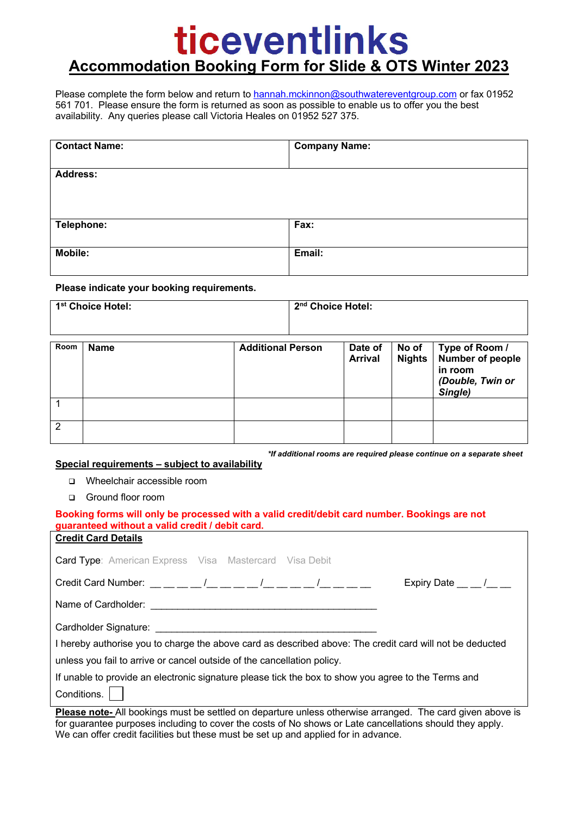## ticeventlinks **Accommodation Booking Form for Slide & OTS Winter 2023**

Please complete the form below and return to hannah.mckinnon@southwatereventgroup.com or fax 01952 561 701. Please ensure the form is returned as soon as possible to enable us to offer you the best availability. Any queries please call Victoria Heales on 01952 527 375.

| <b>Contact Name:</b> | <b>Company Name:</b> |
|----------------------|----------------------|
| <b>Address:</b>      |                      |
|                      |                      |
| Telephone:           | Fax:                 |
| <b>Mobile:</b>       | Email:               |

## **Please indicate your booking requirements.**

| 1 <sup>st</sup> Choice Hotel: |             |                          | 2 <sup>nd</sup> Choice Hotel: |                           |                        |                                                                              |
|-------------------------------|-------------|--------------------------|-------------------------------|---------------------------|------------------------|------------------------------------------------------------------------------|
| Room                          | <b>Name</b> | <b>Additional Person</b> |                               | Date of<br><b>Arrival</b> | No of<br><b>Nights</b> | Type of Room /<br>Number of people<br>in room<br>(Double, Twin or<br>Single) |
|                               |             |                          |                               |                           |                        |                                                                              |
| $\overline{2}$                |             |                          |                               |                           |                        |                                                                              |

*\*If additional rooms are required please continue on a separate sheet*

## **Special requirements – subject to availability**

q Wheelchair accessible room

□ Ground floor room

| Booking forms will only be processed with a valid credit/debit card number. Bookings are not<br>guaranteed without a valid credit / debit card. |  |  |  |                                                                                                                 |  |  |  |
|-------------------------------------------------------------------------------------------------------------------------------------------------|--|--|--|-----------------------------------------------------------------------------------------------------------------|--|--|--|
| <b>Credit Card Details</b>                                                                                                                      |  |  |  |                                                                                                                 |  |  |  |
| <b>Card Type:</b> American Express Visa Mastercard Visa Debit                                                                                   |  |  |  |                                                                                                                 |  |  |  |
| Credit Card Number: __ _ _ _ _/_ _ _ _ _/_ _ _ _/_ _ _ _/_ _ _ _ _/_ _ _                                                                        |  |  |  | Expiry Date $\_\_\_\_\$                                                                                         |  |  |  |
|                                                                                                                                                 |  |  |  |                                                                                                                 |  |  |  |
| Cardholder Signature: Cardholder Signature:                                                                                                     |  |  |  |                                                                                                                 |  |  |  |
| I hereby authorise you to charge the above card as described above: The credit card will not be deducted                                        |  |  |  |                                                                                                                 |  |  |  |
| unless you fail to arrive or cancel outside of the cancellation policy.                                                                         |  |  |  |                                                                                                                 |  |  |  |
| If unable to provide an electronic signature please tick the box to show you agree to the Terms and                                             |  |  |  |                                                                                                                 |  |  |  |
| Conditions.                                                                                                                                     |  |  |  |                                                                                                                 |  |  |  |
|                                                                                                                                                 |  |  |  | Disaster and a All beginner and the collistical dependence entrepreties and concerned. The count above above to |  |  |  |

**Please note-** All bookings must be settled on departure unless otherwise arranged. The card given above is for guarantee purposes including to cover the costs of No shows or Late cancellations should they apply. We can offer credit facilities but these must be set up and applied for in advance.